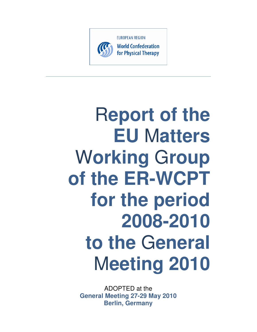

# R**eport of the EU** M**atters**  W**orking** G**roup of the ER-WCPT for the period 2008-2010 to the** G**eneral**  M**eeting 2010**

ADOPTED at the **General Meeting 27-29 May 2010 Berlin, Germany**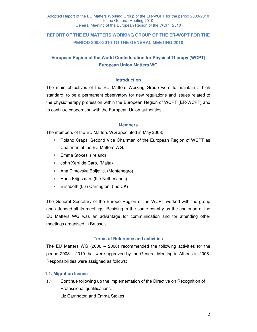# **REPORT OF THE EU MATTERS WORKING GROUP OF THE ER-WCPT FOR THE PERIOD 2008-2010 TO THE GENERAL MEETING 2010**

# **European Region of the World Confederation for Physical Therapy (WCPT) European Union Matters WG**

#### **Introduction**

The main objectives of the EU Matters Working Group were to maintain a high standard; to be a permanent observatory for new regulations and issues related to the physiotherapy profession within the European Region of WCPT (ER-WCPT) and to continue cooperation with the European Union authorities.

#### **Members**

The members of the EU Matters WG appointed in May 2008:

- Roland Craps, Second Vice Chairman of the European Region of WCPT as Chairman of the EU Matters WG.
- Emma Stokes, (Ireland)
- John Xerri de Caro, (Malta)
- Ana Dimovska Boljevic, (Montenegro)
- Hans Krijgsman, (the Netherlands)
- Elisabeth (Liz) Carrington, (the UK)

The General Secretary of the Europe Region of the WCPT worked with the group and attended all its meetings. Residing in the same country as the chairman of the EU Matters WG was an advantage for communication and for attending other meetings organised in Brussels.

#### **Terms of Reference and activities**

The EU Matters WG (2006 – 2008) recommended the following activities for the period 2008 – 2010 that were approved by the General Meeting in Athens in 2008. Responsibilities were assigned as follows:

#### **1.1. Migration Issues**

1.1. Continue following up the implementation of the Directive on Recognition of Professional qualifications.

Liz Carrington and Emma Stokes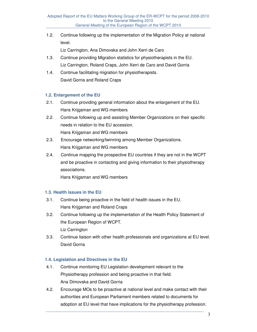1.2. Continue following up the implementation of the Migration Policy at national level.

Liz Carrington, Ana Dimovska and John Xerri de Caro

- 1.3. Continue providing Migration statistics for physiotherapists in the EU. Liz Carrington, Roland Craps, John Xerri de Caro and David Gorria
- 1.4. Continue facilitating migration for physiotherapists. David Gorria and Roland Craps

#### **1.2. Enlargement of the EU**

- 2.1. Continue providing general information about the enlargement of the EU. Hans Krijgsman and WG members
- 2.2. Continue following up and assisting Member Organizations on their specific needs in relation to the EU accession. Hans Krijgsman and WG members
- 2.3. Encourage networking/twinning among Member Organizations. Hans Krijgsman and WG members
- 2.4. Continue mapping the prospective EU countries if they are not in the WCPT and be proactive in contacting and giving information to their physiotherapy associations.

Hans Krijgsman and WG members

#### **1.3. Health issues in the EU**

- 3.1. Continue being proactive in the field of health issues in the EU. Hans Krijgsman and Roland Craps
- 3.2. Continue following up the implementation of the Health Policy Statement of the European Region of WCPT. Liz Carrington
- 3.3. Continue liaison with other health professionals and organizations at EU level. David Gorria

#### **1.4. Legislation and Directives in the EU**

- 4.1. Continue monitoring EU Legislation development relevant to the Physiotherapy profession and being proactive in that field. Ana Dimovska and David Gorria
- 4.2. Encourage MOs to be proactive at national level and make contact with their authorities and European Parliament members related to documents for adoption at EU level that have implications for the physiotherapy profession.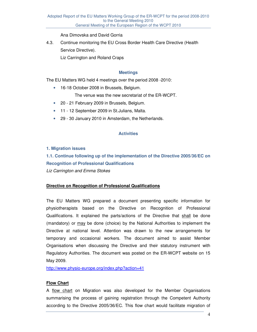Ana Dimovska and David Gorria

4.3. Continue monitoring the EU Cross Border Health Care Directive (Health Service Directive).

Liz Carrington and Roland Craps

#### **Meetings**

The EU Matters WG held 4 meetings over the period 2008 -2010:

• 16-18 October 2008 in Brussels, Belgium.

The venue was the new secretariat of the ER-WCPT.

- 20 21 February 2009 in Brussels, Belgium.
- 11 12 September 2009 in St.Julians, Malta.
- 29 30 January 2010 in Amsterdam, the Netherlands.

#### **Activities**

#### **1. Migration issues**

**1.1. Continue following up of the implementation of the Directive 2005/36/EC on Recognition of Professional Qualifications**  Liz Carrington and Emma Stokes

#### **Directive on Recognition of Professional Qualifications**

The EU Matters WG prepared a document presenting specific information for physiotherapists based on the Directive on Recognition of Professional Qualifications. It explained the parts/actions of the Directive that shall be done (mandatory) or may be done (choice) by the National Authorities to implement the Directive at national level. Attention was drawn to the new arrangements for temporary and occasional workers. The document aimed to assist Member Organisations when discussing the Directive and their statutory instrument with Regulatory Authorities. The document was posted on the ER-WCPT website on 15 May 2009.

http://www.physio-europe.org/index.php?action=41

#### **Flow Chart**

A flow chart on Migration was also developed for the Member Organisations summarising the process of gaining registration through the Competent Authority according to the Directive 2005/36/EC. This flow chart would facilitate migration of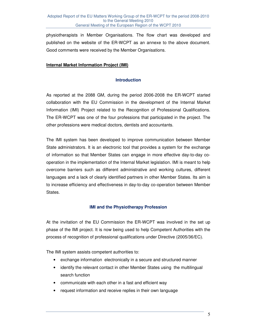physiotherapists in Member Organisations. The flow chart was developed and published on the website of the ER-WCPT as an annexe to the above document. Good comments were received by the Member Organisations.

#### **Internal Market Information Project (IMI)**

#### **Introduction**

As reported at the 2088 GM, during the period 2006-2008 the ER-WCPT started collaboration with the EU Commission in the development of the Internal Market Information (IMI) Project related to the Recognition of Professional Qualifications. The ER-WCPT was one of the four professions that participated in the project. The other professions were medical doctors, dentists and accountants.

The IMI system has been developed to improve communication between Member State administrators. It is an electronic tool that provides a system for the exchange of information so that Member States can engage in more effective day-to-day cooperation in the implementation of the Internal Market legislation. IMI is meant to help overcome barriers such as different administrative and working cultures, different languages and a lack of clearly identified partners in other Member States. Its aim is to increase efficiency and effectiveness in day-to-day co-operation between Member States.

#### **IMI and the Physiotherapy Profession**

At the invitation of the EU Commission the ER-WCPT was involved in the set up phase of the IMI project. It is now being used to help Competent Authorities with the process of recognition of professional qualifications under Directive (2005/36/EC).

The IMI system assists competent authorities to:

- exchange information electronically in a secure and structured manner
- identify the relevant contact in other Member States using the multilingual search function
- communicate with each other in a fast and efficient way
- request information and receive replies in their own language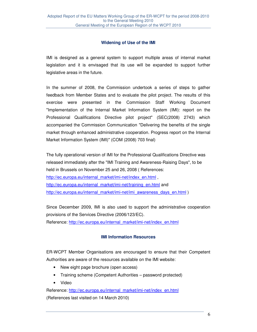#### **Widening of Use of the IMI**

IMI is designed as a general system to support multiple areas of internal market legislation and it is envisaged that its use will be expanded to support further legislative areas in the future.

In the summer of 2008, the Commission undertook a series of steps to gather feedback from Member States and to evaluate the pilot project. The results of this exercise were presented in the Commission Staff Working Document "Implementation of the Internal Market Information System (IMI): report on the Professional Qualifications Directive pilot project" (SEC(2008) 2743) which accompanied the Commission Communication "Delivering the benefits of the single market through enhanced administrative cooperation. Progress report on the Internal Market Information System (IMI)" (COM (2008) 703 final)

The fully operational version of IMI for the Professional Qualifications Directive was released immediately after the "IMI Training and Awareness-Raising Days", to be held in Brussels on November 25 and 26, 2008 ( References: http://ec.europa.eu/internal\_market/imi-net/index\_en.html, http://ec.europa.eu/internal\_market/imi-net/training\_en.html and http://ec.europa.eu/internal\_market/imi-net/imi\_awareness\_days\_en.html )

Since December 2009, IMI is also used to support the administrative cooperation provisions of the Services Directive (2006/123/EC). Reference: http://ec.europa.eu/internal\_market/imi-net/index\_en.html

#### **IMI Information Resources**

ER-WCPT Member Organisations are encouraged to ensure that their Competent Authorities are aware of the resources available on the IMI website:

- New eight page brochure (open access)
- Training scheme (Competent Authorities password protected)
- Video

Reference: http://ec.europa.eu/internal\_market/imi-net/index\_en.html (References last visited on 14 March 2010)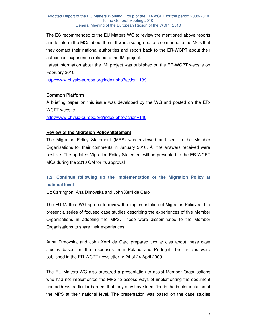The EC recommended to the EU Matters WG to review the mentioned above reports and to inform the MOs about them. It was also agreed to recommend to the MOs that they contact their national authorities and report back to the ER-WCPT about their authorities' experiences related to the IMI project.

Latest information about the IMI project was published on the ER-WCPT website on February 2010.

http://www.physio-europe.org/index.php?action=139

#### **Common Platform**

A briefing paper on this issue was developed by the WG and posted on the ER-WCPT website.

http://www.physio-europe.org/index.php?action=140

#### **Review of the Migration Policy Statement**

The Migration Policy Statement (MPS) was reviewed and sent to the Member Organisations for their comments in January 2010. All the answers received were positive. The updated Migration Policy Statement will be presented to the ER-WCPT MOs during the 2010 GM for its approval

# **1.2. Continue following up the implementation of the Migration Policy at national level**

Liz Carrington, Ana Dimovska and John Xerri de Caro

The EU Matters WG agreed to review the implementation of Migration Policy and to present a series of focused case studies describing the experiences of five Member Organisations in adopting the MPS. These were disseminated to the Member Organisations to share their experiences.

Anna Dimovska and John Xerri de Caro prepared two articles about these case studies based on the responses from Poland and Portugal. The articles were published in the ER-WCPT newsletter nr.24 of 24 April 2009.

The EU Matters WG also prepared a presentation to assist Member Organisations who had not implemented the MPS to assess ways of implementing the document and address particular barriers that they may have identified in the implementation of the MPS at their national level. The presentation was based on the case studies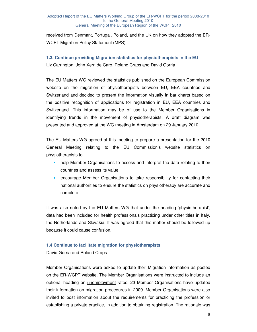received from Denmark, Portugal, Poland, and the UK on how they adopted the ER-WCPT Migration Policy Statement (MPS).

# **1.3. Continue providing Migration statistics for physiotherapists in the EU**

Liz Carrington, John Xerri de Caro, Roland Craps and David Gorria

The EU Matters WG reviewed the statistics published on the European Commission website on the migration of physiotherapists between EU, EEA countries and Switzerland and decided to present the information visually in bar charts based on the positive recognition of applications for registration in EU, EEA countries and Switzerland. This information may be of use to the Member Organisations in identifying trends in the movement of physiotherapists. A draft diagram was presented and approved at the WG meeting in Amsterdam on 29 January 2010.

The EU Matters WG agreed at this meeting to prepare a presentation for the 2010 General Meeting relating to the EU Commission's website statistics on physiotherapists to

- help Member Organisations to access and interpret the data relating to their countries and assess its value
- encourage Member Organisations to take responsibility for contacting their national authorities to ensure the statistics on physiotherapy are accurate and complete

It was also noted by the EU Matters WG that under the heading 'physiotherapist', data had been included for health professionals practicing under other titles in Italy, the Netherlands and Slovakia. It was agreed that this matter should be followed up because it could cause confusion.

#### **1.4 Continue to facilitate migration for physiotherapists**

David Gorria and Roland Craps

Member Organisations were asked to update their Migration information as posted on the ER-WCPT website. The Member Organisations were instructed to include an optional heading on unemployment rates. 23 Member Organisations have updated their information on migration procedures in 2009. Member Organisations were also invited to post information about the requirements for practicing the profession or establishing a private practice, in addition to obtaining registration. The rationale was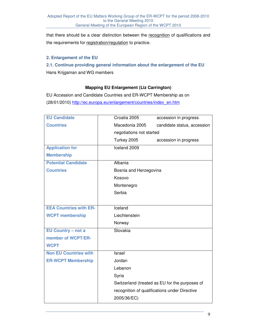that there should be a clear distinction between the recognition of qualifications and the requirements for registration/regulation to practice.

#### **2. Enlargement of the EU**

# **2.1. Continue providing general information about the enlargement of the EU**

Hans Krijgsman and WG members

#### **Mapping EU Enlargement (Liz Carrington)**

EU Accession and Candidate Countries and ER-WCPT Membership as on (28/01/2010) http://ec.europa.eu/enlargement/countries/index\_en.htm

| <b>EU Candidate</b>           | Croatia 2005<br>accession in progress          |
|-------------------------------|------------------------------------------------|
| <b>Countries</b>              | Macedonia 2005<br>candidate status, accession  |
|                               | negotiations not started                       |
|                               | Turkey 2005<br>accession in progress           |
| <b>Application for</b>        | Iceland 2009                                   |
| <b>Membership</b>             |                                                |
| <b>Potential Candidate</b>    | Albania                                        |
| <b>Countries</b>              | Bosnia and Herzegovina                         |
|                               | Kosovo                                         |
|                               | Montenegro                                     |
|                               | Serbia                                         |
|                               |                                                |
| <b>EEA Countries with ER-</b> | Iceland                                        |
| <b>WCPT membership</b>        | Liechtenstein                                  |
|                               | Norway                                         |
| EU Country - not a            | Slovakia                                       |
| member of WCPT/ER-            |                                                |
| <b>WCPT</b>                   |                                                |
| <b>Non EU Countries with</b>  | Israel                                         |
| <b>ER-WCPT Membership</b>     | Jordan                                         |
|                               | Lebanon                                        |
|                               | Syria                                          |
|                               | Switzerland (treated as EU for the purposes of |
|                               | recognition of qualifications under Directive  |
|                               | 2005/36/EC)                                    |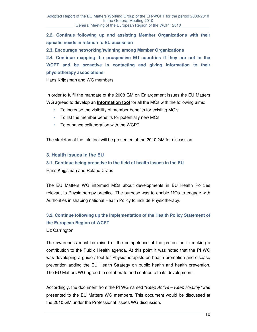**2.2. Continue following up and assisting Member Organizations with their specific needs in relation to EU accession** 

**2.3. Encourage networking/twinning among Member Organizations** 

**2.4. Continue mapping the prospective EU countries if they are not in the WCPT and be proactive in contacting and giving information to their physiotherapy associations** 

Hans Krijgsman and WG members

In order to fulfil the mandate of the 2008 GM on Enlargement issues the EU Matters WG agreed to develop an **Information tool** for all the MOs with the following aims:

- To increase the visibility of member benefits for existing MO's
- To list the member benefits for potentially new MOs
- To enhance collaboration with the WCPT

The skeleton of the info tool will be presented at the 2010 GM for discussion

#### **3. Health issues in the EU**

## **3.1. Continue being proactive in the field of health issues in the EU**  Hans Krijgsman and Roland Craps

The EU Matters WG informed MOs about developments in EU Health Policies relevant to Physiotherapy practice. The purpose was to enable MOs to engage with Authorities in shaping national Health Policy to include Physiotherapy.

# **3.2. Continue following up the implementation of the Health Policy Statement of the European Region of WCPT**

Liz Carrington

The awareness must be raised of the competence of the profession in making a contribution to the Public Health agenda. At this point it was noted that the PI WG was developing a guide / tool for Physiotherapists on health promotion and disease prevention adding the EU Health Strategy on public health and health prevention. The EU Matters WG agreed to collaborate and contribute to its development.

Accordingly, the document from the PI WG named "Keep Active – Keep Healthy" was presented to the EU Matters WG members. This document would be discussed at the 2010 GM under the Professional Issues WG discussion.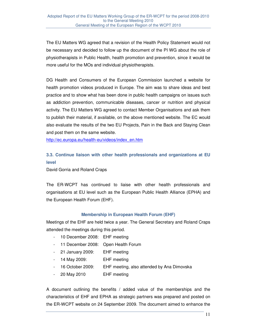The EU Matters WG agreed that a revision of the Health Policy Statement would not be necessary and decided to follow up the document of the PI WG about the role of physiotherapists in Public Health, health promotion and prevention, since it would be more useful for the MOs and individual physiotherapists.

DG Health and Consumers of the European Commission launched a website for health promotion videos produced in Europe. The aim was to share ideas and best practice and to show what has been done in public health campaigns on issues such as addiction prevention, communicable diseases, cancer or nutrition and physical activity. The EU Matters WG agreed to contact Member Organisations and ask them to publish their material, if available, on the above mentioned website. The EC would also evaluate the results of the two EU Projects, Pain in the Back and Staying Clean and post them on the same website.

http://ec.europa.eu/health-eu/videos/index\_en.htm

# **3.3. Continue liaison with other health professionals and organizations at EU level**

David Gorria and Roland Craps

The ER-WCPT has continued to liaise with other health professionals and organisations at EU level such as the European Public Health Alliance (EPHA) and the European Health Forum (EHF).

#### **Membership in European Health Forum (EHF)**

Meetings of the EHF are held twice a year. The General Secretary and Roland Craps attended the meetings during this period.

- 10 December 2008: EHF meeting
- 11 December 2008: Open Health Forum
- 21 January 2009: EHF meeting
- 14 May 2009: EHF meeting
- 16 October 2009: EHF meeting, also attended by Ana Dimovska
- 20 May 2010 EHF meeting

A document outlining the benefits / added value of the memberships and the characteristics of EHF and EPHA as strategic partners was prepared and posted on the ER-WCPT website on 24 September 2009. The document aimed to enhance the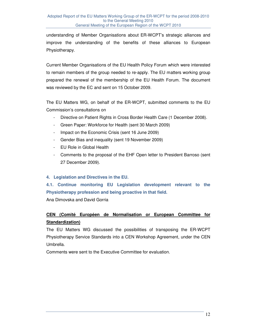understanding of Member Organisations about ER-WCPT's strategic alliances and improve the understanding of the benefits of these alliances to European Physiotherapy.

Current Member Organisations of the EU Health Policy Forum which were interested to remain members of the group needed to re-apply. The EU matters working group prepared the renewal of the membership of the EU Health Forum. The document was reviewed by the EC and sent on 15 October 2009.

The EU Matters WG, on behalf of the ER-WCPT, submitted comments to the EU Commission's consultations on

- Directive on Patient Rights in Cross Border Health Care (1 December 2008).
- Green Paper: Workforce for Health (sent 30 March 2009)
- Impact on the Economic Crisis (sent 16 June 2009)
- Gender Bias and inequality (sent 19 November 2009)
- EU Role in Global Health
- Comments to the proposal of the EHF Open letter to President Barroso (sent 27 December 2009).

#### **4. Legislation and Directives in the EU.**

# **4.1. Continue monitoring EU Legislation development relevant to the Physiotherapy profession and being proactive in that field.**

Ana Dimovska and David Gorria

## **CEN (Comité Européen de Normalisation or European Committee for Standardization)**

The EU Matters WG discussed the possibilities of transposing the ER-WCPT Physiotherapy Service Standards into a CEN Workshop Agreement, under the CEN Umbrella.

Comments were sent to the Executive Committee for evaluation.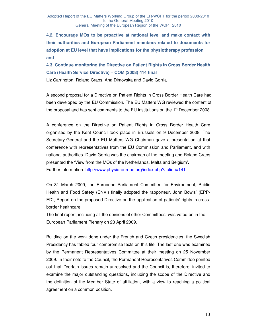**4.2. Encourage MOs to be proactive at national level and make contact with their authorities and European Parliament members related to documents for adoption at EU level that have implications for the physiotherapy profession and** 

**4.3. Continue monitoring the Directive on Patient Rights in Cross Border Health Care (Health Service Directive) – COM (2008) 414 final**

Liz Carrington, Roland Craps, Ana Dimovska and David Gorria

A second proposal for a Directive on Patient Rights in Cross Border Health Care had been developed by the EU Commission. The EU Matters WG reviewed the content of the proposal and has sent comments to the EU institutions on the  $1<sup>st</sup>$  December 2008.

A conference on the Directive on Patient Rights in Cross Border Health Care organised by the Kent Council took place in Brussels on 9 December 2008. The Secretary-General and the EU Matters WG Chairman gave a presentation at that conference with representatives from the EU Commission and Parliament, and with national authorities. David Gorria was the chairman of the meeting and Roland Craps presented the 'View from the MOs of the Netherlands, Malta and Belgium'. Further information: http://www.physio-europe.org/index.php?action=141

On 31 March 2009, the European Parliament Committee for Environment, Public Health and Food Safety (ENVI) finally adopted the rapporteur, John Bowis' (EPP-ED), Report on the proposed Directive on the application of patients' rights in crossborder healthcare.

The final report, including all the opinions of other Committees, was voted on in the European Parliament Plenary on 23 April 2009.

Building on the work done under the French and Czech presidencies, the Swedish Presidency has tabled four compromise texts on this file. The last one was examined by the Permanent Representatives Committee at their meeting on 25 November 2009. In their note to the Council, the Permanent Representatives Committee pointed out that: "certain issues remain unresolved and the Council is, therefore, invited to examine the major outstanding questions, including the scope of the Directive and the definition of the Member State of affiliation, with a view to reaching a political agreement on a common position.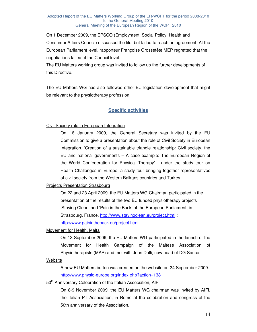On 1 December 2009, the EPSCO (Employment, Social Policy, Health and Consumer Affairs Council) discussed the file, but failed to reach an agreement. At the European Parliament level, rapporteur Françoise Grossetête MEP regretted that the negotiations failed at the Council level.

The EU Matters working group was invited to follow up the further developments of this Directive.

The EU Matters WG has also followed other EU legislation development that might be relevant to the physiotherapy profession.

#### **Specific activities**

#### Civil Society role in European Integration

On 16 January 2009, the General Secretary was invited by the EU Commission to give a presentation about the role of Civil Society in European Integration. 'Creation of a sustainable triangle relationship: Civil society, the EU and national governments – A case example: The European Region of the World Confederation for Physical Therapy' - under the study tour on Health Challenges in Europe, a study tour bringing together representatives of civil society from the Western Balkans countries and Turkey.

#### Projects Presentation Strasbourg

On 22 and 23 April 2009, the EU Matters WG Chairman participated in the presentation of the results of the two EU funded physiotherapy projects 'Staying Clean' and 'Pain in the Back' at the European Parliament, in Strasbourg, France. http://www.stayingclean.eu/project.html ; http://www.painintheback.eu/project.html

#### Movement for Health, Malta

On 13 September 2009, the EU Matters WG participated in the launch of the Movement for Health Campaign of the Maltese Association of Physiotherapists (MAP) and met with John Dalli, now head of DG Sanco.

#### **Website**

A new EU Matters button was created on the website on 24 September 2009. http://www.physio-europe.org/index.php?action=138

#### 50<sup>th</sup> Anniversary Celebration of the Italian Association, AIFI

On 8-9 November 2009, the EU Matters WG chairman was invited by AIFI, the Italian PT Association, in Rome at the celebration and congress of the 50th anniversary of the Association.